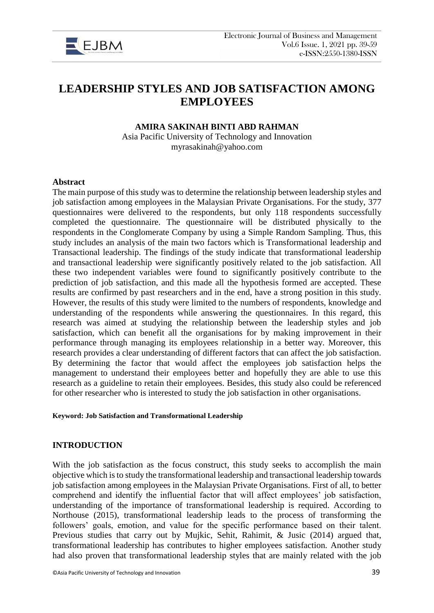

# **LEADERSHIP STYLES AND JOB SATISFACTION AMONG EMPLOYEES**

#### **AMIRA SAKINAH BINTI ABD RAHMAN**

Asia Pacific University of Technology and Innovation myrasakinah@yahoo.com

#### **Abstract**

The main purpose of this study was to determine the relationship between leadership styles and job satisfaction among employees in the Malaysian Private Organisations. For the study, 377 questionnaires were delivered to the respondents, but only 118 respondents successfully completed the questionnaire. The questionnaire will be distributed physically to the respondents in the Conglomerate Company by using a Simple Random Sampling. Thus, this study includes an analysis of the main two factors which is Transformational leadership and Transactional leadership. The findings of the study indicate that transformational leadership and transactional leadership were significantly positively related to the job satisfaction. All these two independent variables were found to significantly positively contribute to the prediction of job satisfaction, and this made all the hypothesis formed are accepted. These results are confirmed by past researchers and in the end, have a strong position in this study. However, the results of this study were limited to the numbers of respondents, knowledge and understanding of the respondents while answering the questionnaires. In this regard, this research was aimed at studying the relationship between the leadership styles and job satisfaction, which can benefit all the organisations for by making improvement in their performance through managing its employees relationship in a better way. Moreover, this research provides a clear understanding of different factors that can affect the job satisfaction. By determining the factor that would affect the employees job satisfaction helps the management to understand their employees better and hopefully they are able to use this research as a guideline to retain their employees. Besides, this study also could be referenced for other researcher who is interested to study the job satisfaction in other organisations.

#### **Keyword: Job Satisfaction and Transformational Leadership**

#### **INTRODUCTION**

With the job satisfaction as the focus construct, this study seeks to accomplish the main objective which is to study the transformational leadership and transactional leadership towards job satisfaction among employees in the Malaysian Private Organisations. First of all, to better comprehend and identify the influential factor that will affect employees' job satisfaction, understanding of the importance of transformational leadership is required. According to Northouse (2015), transformational leadership leads to the process of transforming the followers' goals, emotion, and value for the specific performance based on their talent. Previous studies that carry out by Mujkic, Sehit, Rahimit, & Jusic (2014) argued that, transformational leadership has contributes to higher employees satisfaction. Another study had also proven that transformational leadership styles that are mainly related with the job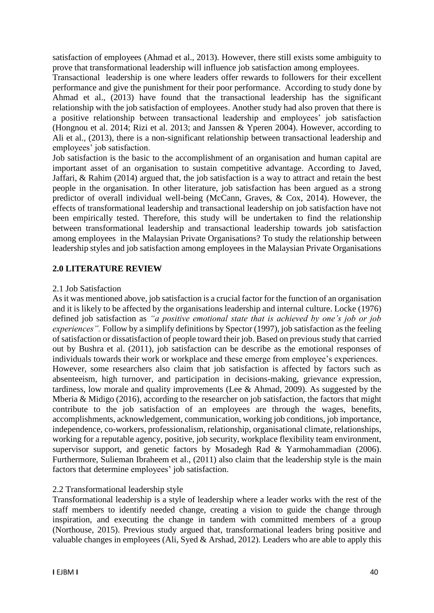satisfaction of employees (Ahmad et al., 2013). However, there still exists some ambiguity to prove that transformational leadership will influence job satisfaction among employees.

Transactional leadership is one where leaders offer rewards to followers for their excellent performance and give the punishment for their poor performance. According to study done by Ahmad et al., (2013) have found that the transactional leadership has the significant relationship with the job satisfaction of employees. Another study had also proven that there is a positive relationship between transactional leadership and employees' job satisfaction (Hongnou et al. 2014; Rizi et al. 2013; and Janssen & Yperen 2004). However, according to Ali et al., (2013), there is a non-significant relationship between transactional leadership and employees' job satisfaction.

Job satisfaction is the basic to the accomplishment of an organisation and human capital are important asset of an organisation to sustain competitive advantage. According to Javed, Jaffari, & Rahim (2014) argued that, the job satisfaction is a way to attract and retain the best people in the organisation. In other literature, job satisfaction has been argued as a strong predictor of overall individual well-being (McCann, Graves, & Cox, 2014). However, the effects of transformational leadership and transactional leadership on job satisfaction have not been empirically tested. Therefore, this study will be undertaken to find the relationship between transformational leadership and transactional leadership towards job satisfaction among employees in the Malaysian Private Organisations? To study the relationship between leadership styles and job satisfaction among employees in the Malaysian Private Organisations

#### **2.0 LITERATURE REVIEW**

#### 2.1 Job Satisfaction

As it was mentioned above, job satisfaction is a crucial factor for the function of an organisation and it is likely to be affected by the organisations leadership and internal culture. Locke (1976) defined job satisfaction as *"a positive emotional state that is achieved by one's job or job experiences".* Follow by a simplify definitions by Spector (1997), job satisfaction as the feeling of satisfaction or dissatisfaction of people toward their job. Based on previous study that carried out by Bushra et al. (2011), job satisfaction can be describe as the emotional responses of individuals towards their work or workplace and these emerge from employee's experiences. However, some researchers also claim that job satisfaction is affected by factors such as absenteeism, high turnover, and participation in decisions-making, grievance expression, tardiness, low morale and quality improvements (Lee  $&$  Ahmad, 2009). As suggested by the Mberia & Midigo (2016), according to the researcher on job satisfaction, the factors that might contribute to the job satisfaction of an employees are through the wages, benefits, accomplishments, acknowledgement, communication, working job conditions, job importance, independence, co-workers, professionalism, relationship, organisational climate, relationships, working for a reputable agency, positive, job security, workplace flexibility team environment, supervisor support, and genetic factors by Mosadegh Rad & Yarmohammadian (2006). Furthermore, Sulieman Ibraheem et al., (2011) also claim that the leadership style is the main factors that determine employees' job satisfaction.

# 2.2 Transformational leadership style

Transformational leadership is a style of leadership where a leader works with the rest of the staff members to identify needed change, creating a vision to guide the change through inspiration, and executing the change in tandem with committed members of a group (Northouse, 2015). Previous study argued that, transformational leaders bring positive and valuable changes in employees (Ali, Syed & Arshad, 2012). Leaders who are able to apply this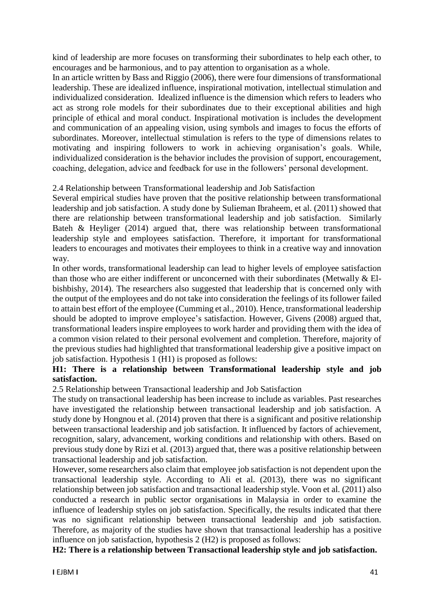kind of leadership are more focuses on transforming their subordinates to help each other, to encourages and be harmonious, and to pay attention to organisation as a whole.

In an article written by Bass and Riggio (2006), there were four dimensions of transformational leadership. These are idealized influence, inspirational motivation, intellectual stimulation and individualized consideration. Idealized influence is the dimension which refers to leaders who act as strong role models for their subordinates due to their exceptional abilities and high principle of ethical and moral conduct. Inspirational motivation is includes the development and communication of an appealing vision, using symbols and images to focus the efforts of subordinates. Moreover, intellectual stimulation is refers to the type of dimensions relates to motivating and inspiring followers to work in achieving organisation's goals. While, individualized consideration is the behavior includes the provision of support, encouragement, coaching, delegation, advice and feedback for use in the followers' personal development.

#### 2.4 Relationship between Transformational leadership and Job Satisfaction

Several empirical studies have proven that the positive relationship between transformational leadership and job satisfaction. A study done by Sulieman Ibraheem, et al. (2011) showed that there are relationship between transformational leadership and job satisfaction. Similarly Bateh & Heyliger (2014) argued that, there was relationship between transformational leadership style and employees satisfaction. Therefore, it important for transformational leaders to encourages and motivates their employees to think in a creative way and innovation way.

In other words, transformational leadership can lead to higher levels of employee satisfaction than those who are either indifferent or unconcerned with their subordinates (Metwally & Elbishbishy, 2014). The researchers also suggested that leadership that is concerned only with the output of the employees and do not take into consideration the feelings of its follower failed to attain best effort of the employee (Cumming et al., 2010). Hence, transformational leadership should be adopted to improve employee's satisfaction. However, Givens (2008) argued that, transformational leaders inspire employees to work harder and providing them with the idea of a common vision related to their personal evolvement and completion. Therefore, majority of the previous studies had highlighted that transformational leadership give a positive impact on job satisfaction. Hypothesis 1 (H1) is proposed as follows:

# **H1: There is a relationship between Transformational leadership style and job satisfaction.**

2.5 Relationship between Transactional leadership and Job Satisfaction

The study on transactional leadership has been increase to include as variables. Past researches have investigated the relationship between transactional leadership and job satisfaction. A study done by Hongnou et al. (2014) proven that there is a significant and positive relationship between transactional leadership and job satisfaction. It influenced by factors of achievement, recognition, salary, advancement, working conditions and relationship with others. Based on previous study done by Rizi et al. (2013) argued that, there was a positive relationship between transactional leadership and job satisfaction.

However, some researchers also claim that employee job satisfaction is not dependent upon the transactional leadership style. According to Ali et al. (2013), there was no significant relationship between job satisfaction and transactional leadership style. Voon et al. (2011) also conducted a research in public sector organisations in Malaysia in order to examine the influence of leadership styles on job satisfaction. Specifically, the results indicated that there was no significant relationship between transactional leadership and job satisfaction. Therefore, as majority of the studies have shown that transactional leadership has a positive influence on job satisfaction, hypothesis 2 (H2) is proposed as follows:

**H2: There is a relationship between Transactional leadership style and job satisfaction.**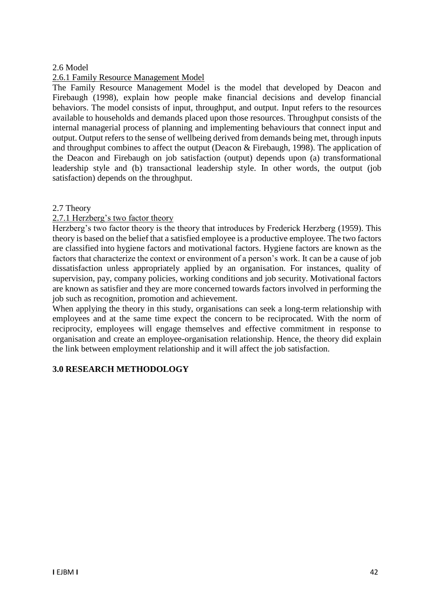#### 2.6 Model

#### 2.6.1 Family Resource Management Model

The Family Resource Management Model is the model that developed by Deacon and Firebaugh (1998), explain how people make financial decisions and develop financial behaviors. The model consists of input, throughput, and output. Input refers to the resources available to households and demands placed upon those resources. Throughput consists of the internal managerial process of planning and implementing behaviours that connect input and output. Output refers to the sense of wellbeing derived from demands being met, through inputs and throughput combines to affect the output (Deacon & Firebaugh, 1998). The application of the Deacon and Firebaugh on job satisfaction (output) depends upon (a) transformational leadership style and (b) transactional leadership style. In other words, the output (job satisfaction) depends on the throughput.

#### 2.7 Theory

#### 2.7.1 Herzberg's two factor theory

Herzberg's two factor theory is the theory that introduces by Frederick Herzberg (1959). This theory is based on the belief that a satisfied employee is a productive employee. The two factors are classified into hygiene factors and motivational factors. Hygiene factors are known as the factors that characterize the context or environment of a person's work. It can be a cause of job dissatisfaction unless appropriately applied by an organisation. For instances, quality of supervision, pay, company policies, working conditions and job security. Motivational factors are known as satisfier and they are more concerned towards factors involved in performing the job such as recognition, promotion and achievement.

When applying the theory in this study, organisations can seek a long-term relationship with employees and at the same time expect the concern to be reciprocated. With the norm of reciprocity, employees will engage themselves and effective commitment in response to organisation and create an employee-organisation relationship. Hence, the theory did explain the link between employment relationship and it will affect the job satisfaction.

# **3.0 RESEARCH METHODOLOGY**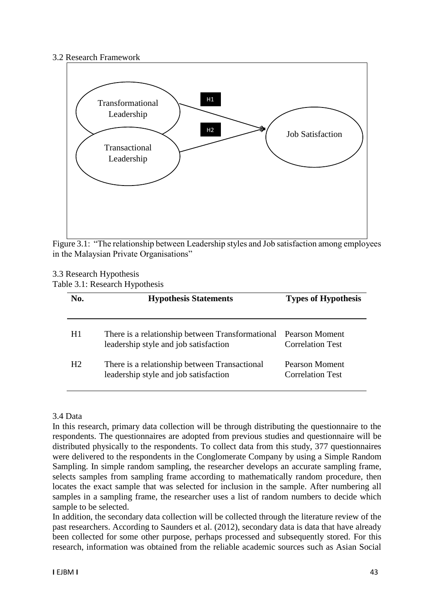#### 3.2 Research Framework



Figure 3.1: "The relationship between Leadership styles and Job satisfaction among employees in the Malaysian Private Organisations"

#### 3.3 Research Hypothesis Table 3.1: Research Hypothesis

| No.            | <b>Hypothesis Statements</b>                                                              | <b>Types of Hypothesis</b>                |  |
|----------------|-------------------------------------------------------------------------------------------|-------------------------------------------|--|
| H1             | There is a relationship between Transformational<br>leadership style and job satisfaction | Pearson Moment<br><b>Correlation Test</b> |  |
| H <sub>2</sub> | There is a relationship between Transactional<br>leadership style and job satisfaction    | Pearson Moment<br><b>Correlation Test</b> |  |

# 3.4 Data

In this research, primary data collection will be through distributing the questionnaire to the respondents. The questionnaires are adopted from previous studies and questionnaire will be distributed physically to the respondents. To collect data from this study, 377 questionnaires were delivered to the respondents in the Conglomerate Company by using a Simple Random Sampling. In simple random sampling, the researcher develops an accurate sampling frame, selects samples from sampling frame according to mathematically random procedure, then locates the exact sample that was selected for inclusion in the sample. After numbering all samples in a sampling frame, the researcher uses a list of random numbers to decide which sample to be selected.

In addition, the secondary data collection will be collected through the literature review of the past researchers. According to Saunders et al. (2012), secondary data is data that have already been collected for some other purpose, perhaps processed and subsequently stored. For this research, information was obtained from the reliable academic sources such as Asian Social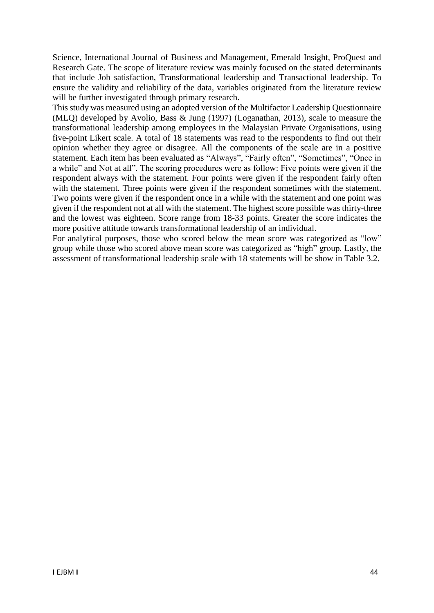Science, International Journal of Business and Management, Emerald Insight, ProQuest and Research Gate. The scope of literature review was mainly focused on the stated determinants that include Job satisfaction, Transformational leadership and Transactional leadership. To ensure the validity and reliability of the data, variables originated from the literature review will be further investigated through primary research.

This study was measured using an adopted version of the Multifactor Leadership Questionnaire (MLQ) developed by Avolio, Bass & Jung (1997) (Loganathan, 2013), scale to measure the transformational leadership among employees in the Malaysian Private Organisations, using five-point Likert scale. A total of 18 statements was read to the respondents to find out their opinion whether they agree or disagree. All the components of the scale are in a positive statement. Each item has been evaluated as "Always", "Fairly often", "Sometimes", "Once in a while" and Not at all". The scoring procedures were as follow: Five points were given if the respondent always with the statement. Four points were given if the respondent fairly often with the statement. Three points were given if the respondent sometimes with the statement. Two points were given if the respondent once in a while with the statement and one point was given if the respondent not at all with the statement. The highest score possible was thirty-three and the lowest was eighteen. Score range from 18-33 points. Greater the score indicates the more positive attitude towards transformational leadership of an individual.

For analytical purposes, those who scored below the mean score was categorized as "low" group while those who scored above mean score was categorized as "high" group. Lastly, the assessment of transformational leadership scale with 18 statements will be show in Table 3.2.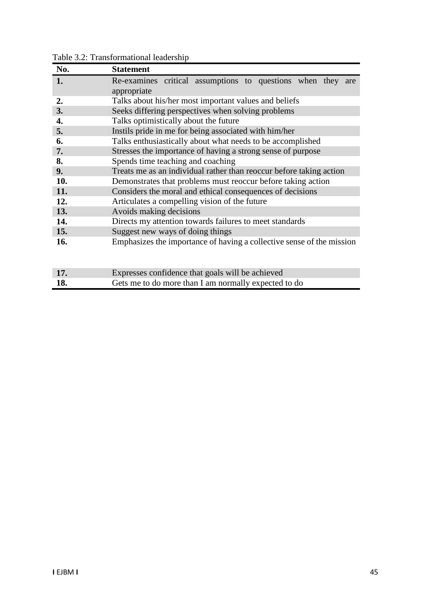| No. | <b>Statement</b>                                                      |  |  |  |  |
|-----|-----------------------------------------------------------------------|--|--|--|--|
| 1.  | Re-examines critical assumptions to questions when they are           |  |  |  |  |
|     | appropriate                                                           |  |  |  |  |
| 2.  | Talks about his/her most important values and beliefs                 |  |  |  |  |
| 3.  | Seeks differing perspectives when solving problems                    |  |  |  |  |
| 4.  | Talks optimistically about the future                                 |  |  |  |  |
| 5.  | Instils pride in me for being associated with him/her                 |  |  |  |  |
| 6.  | Talks enthusiastically about what needs to be accomplished            |  |  |  |  |
| 7.  | Stresses the importance of having a strong sense of purpose           |  |  |  |  |
| 8.  | Spends time teaching and coaching                                     |  |  |  |  |
| 9.  | Treats me as an individual rather than reoccur before taking action   |  |  |  |  |
| 10. | Demonstrates that problems must reoccur before taking action          |  |  |  |  |
| 11. | Considers the moral and ethical consequences of decisions             |  |  |  |  |
| 12. | Articulates a compelling vision of the future                         |  |  |  |  |
| 13. | Avoids making decisions                                               |  |  |  |  |
| 14. | Directs my attention towards failures to meet standards               |  |  |  |  |
| 15. | Suggest new ways of doing things                                      |  |  |  |  |
| 16. | Emphasizes the importance of having a collective sense of the mission |  |  |  |  |
|     |                                                                       |  |  |  |  |
|     |                                                                       |  |  |  |  |
| 17. | Expresses confidence that goals will be achieved                      |  |  |  |  |
| 18. | Gets me to do more than I am normally expected to do                  |  |  |  |  |

Table 3.2: Transformational leadership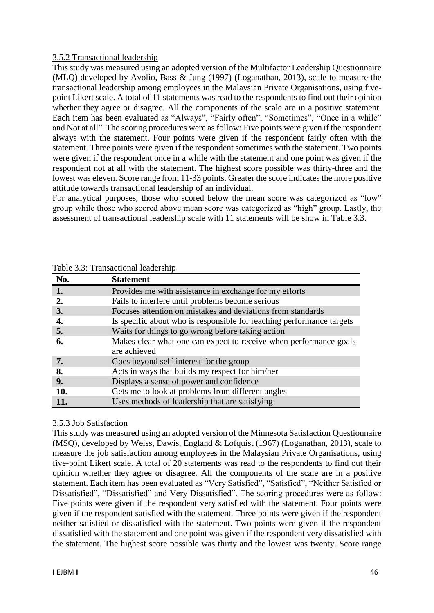#### 3.5.2 Transactional leadership

This study was measured using an adopted version of the Multifactor Leadership Questionnaire (MLQ) developed by Avolio, Bass & Jung (1997) (Loganathan, 2013), scale to measure the transactional leadership among employees in the Malaysian Private Organisations, using fivepoint Likert scale. A total of 11 statements was read to the respondents to find out their opinion whether they agree or disagree. All the components of the scale are in a positive statement. Each item has been evaluated as "Always", "Fairly often", "Sometimes", "Once in a while" and Not at all". The scoring procedures were as follow: Five points were given if the respondent always with the statement. Four points were given if the respondent fairly often with the statement. Three points were given if the respondent sometimes with the statement. Two points were given if the respondent once in a while with the statement and one point was given if the respondent not at all with the statement. The highest score possible was thirty-three and the lowest was eleven. Score range from 11-33 points. Greater the score indicates the more positive attitude towards transactional leadership of an individual.

For analytical purposes, those who scored below the mean score was categorized as "low" group while those who scored above mean score was categorized as "high" group. Lastly, the assessment of transactional leadership scale with 11 statements will be show in Table 3.3.

| No. | <b>Statement</b>                                                                  |
|-----|-----------------------------------------------------------------------------------|
| 1.  | Provides me with assistance in exchange for my efforts                            |
|     | Fails to interfere until problems become serious                                  |
| 3.  | Focuses attention on mistakes and deviations from standards                       |
| 4.  | Is specific about who is responsible for reaching performance targets             |
| 5.  | Waits for things to go wrong before taking action                                 |
| 6.  | Makes clear what one can expect to receive when performance goals<br>are achieved |
| 7.  | Goes beyond self-interest for the group                                           |
| 8.  | Acts in ways that builds my respect for him/her                                   |
| 9.  | Displays a sense of power and confidence                                          |
| 10. | Gets me to look at problems from different angles                                 |
| 11. | Uses methods of leadership that are satisfying                                    |

Table 3.3: Transactional leadership

# 3.5.3 Job Satisfaction

This study was measured using an adopted version of the Minnesota Satisfaction Questionnaire (MSQ), developed by Weiss, Dawis, England & Lofquist (1967) (Loganathan, 2013), scale to measure the job satisfaction among employees in the Malaysian Private Organisations, using five-point Likert scale. A total of 20 statements was read to the respondents to find out their opinion whether they agree or disagree. All the components of the scale are in a positive statement. Each item has been evaluated as "Very Satisfied", "Satisfied", "Neither Satisfied or Dissatisfied", "Dissatisfied" and Very Dissatisfied". The scoring procedures were as follow: Five points were given if the respondent very satisfied with the statement. Four points were given if the respondent satisfied with the statement. Three points were given if the respondent neither satisfied or dissatisfied with the statement. Two points were given if the respondent dissatisfied with the statement and one point was given if the respondent very dissatisfied with the statement. The highest score possible was thirty and the lowest was twenty. Score range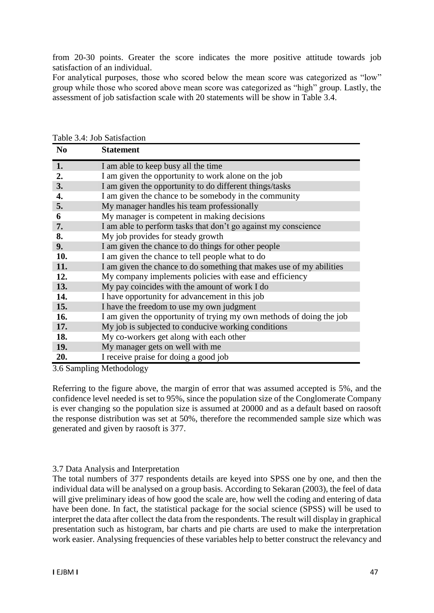from 20-30 points. Greater the score indicates the more positive attitude towards job satisfaction of an individual.

For analytical purposes, those who scored below the mean score was categorized as "low" group while those who scored above mean score was categorized as "high" group. Lastly, the assessment of job satisfaction scale with 20 statements will be show in Table 3.4.

| N <sub>0</sub> | <b>Statement</b>                                                     |
|----------------|----------------------------------------------------------------------|
| 1.             | I am able to keep busy all the time                                  |
| 2.             | I am given the opportunity to work alone on the job                  |
| 3.             | I am given the opportunity to do different things/tasks              |
| 4.             | I am given the chance to be somebody in the community                |
| 5.             | My manager handles his team professionally                           |
| 6              | My manager is competent in making decisions                          |
| 7.             | I am able to perform tasks that don't go against my conscience       |
| 8.             | My job provides for steady growth                                    |
| 9.             | I am given the chance to do things for other people                  |
| 10.            | I am given the chance to tell people what to do                      |
| 11.            | I am given the chance to do something that makes use of my abilities |
| 12.            | My company implements policies with ease and efficiency              |
| 13.            | My pay coincides with the amount of work I do                        |
| 14.            | I have opportunity for advancement in this job                       |
| 15.            | I have the freedom to use my own judgment                            |
| 16.            | I am given the opportunity of trying my own methods of doing the job |
| 17.            | My job is subjected to conducive working conditions                  |
| 18.            | My co-workers get along with each other                              |
| 19.            | My manager gets on well with me                                      |
| 20.            | I receive praise for doing a good job                                |

Table 3.4: Job Satisfaction

3.6 Sampling Methodology

Referring to the figure above, the margin of error that was assumed accepted is 5%, and the confidence level needed is set to 95%, since the population size of the Conglomerate Company is ever changing so the population size is assumed at 20000 and as a default based on raosoft the response distribution was set at 50%, therefore the recommended sample size which was generated and given by raosoft is 377.

# 3.7 Data Analysis and Interpretation

The total numbers of 377 respondents details are keyed into SPSS one by one, and then the individual data will be analysed on a group basis. According to Sekaran (2003), the feel of data will give preliminary ideas of how good the scale are, how well the coding and entering of data have been done. In fact, the statistical package for the social science (SPSS) will be used to interpret the data after collect the data from the respondents. The result will display in graphical presentation such as histogram, bar charts and pie charts are used to make the interpretation work easier. Analysing frequencies of these variables help to better construct the relevancy and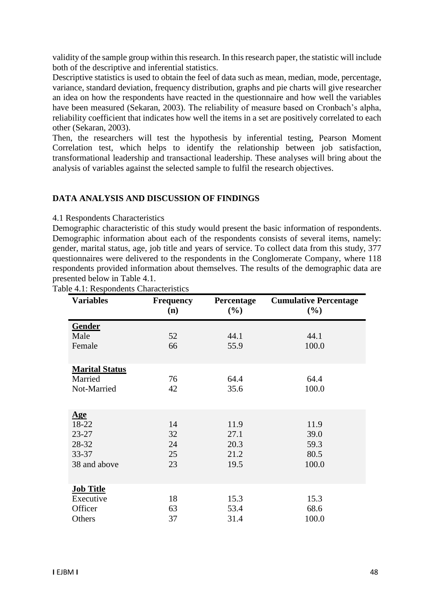validity of the sample group within this research. In this research paper, the statistic will include both of the descriptive and inferential statistics.

Descriptive statistics is used to obtain the feel of data such as mean, median, mode, percentage, variance, standard deviation, frequency distribution, graphs and pie charts will give researcher an idea on how the respondents have reacted in the questionnaire and how well the variables have been measured (Sekaran, 2003). The reliability of measure based on Cronbach's alpha, reliability coefficient that indicates how well the items in a set are positively correlated to each other (Sekaran, 2003).

Then, the researchers will test the hypothesis by inferential testing, Pearson Moment Correlation test, which helps to identify the relationship between job satisfaction, transformational leadership and transactional leadership. These analyses will bring about the analysis of variables against the selected sample to fulfil the research objectives.

#### **DATA ANALYSIS AND DISCUSSION OF FINDINGS**

4.1 Respondents Characteristics

Demographic characteristic of this study would present the basic information of respondents. Demographic information about each of the respondents consists of several items, namely: gender, marital status, age, job title and years of service. To collect data from this study, 377 questionnaires were delivered to the respondents in the Conglomerate Company, where 118 respondents provided information about themselves. The results of the demographic data are presented below in Table 4.1.

| <b>Variables</b>      | <b>Frequency</b><br>(n) | Percentage<br>(%) | <b>Cumulative Percentage</b><br>(%) |
|-----------------------|-------------------------|-------------------|-------------------------------------|
| Gender                |                         |                   |                                     |
| Male                  | 52                      | 44.1              | 44.1                                |
| Female                | 66                      | 55.9              | 100.0                               |
| <b>Marital Status</b> |                         |                   |                                     |
| Married               | 76                      | 64.4              | 64.4                                |
| Not-Married           | 42                      | 35.6              | 100.0                               |
|                       |                         |                   |                                     |
| <u>Age</u>            |                         |                   |                                     |
| 18-22                 | 14                      | 11.9              | 11.9                                |
| $23 - 27$             | 32                      | 27.1              | 39.0                                |
| 28-32                 | 24                      | 20.3              | 59.3                                |
| $33 - 37$             | 25                      | 21.2              | 80.5                                |
| 38 and above          | 23                      | 19.5              | 100.0                               |
|                       |                         |                   |                                     |
| <b>Job Title</b>      |                         |                   |                                     |
| Executive             | 18                      | 15.3              | 15.3                                |
| Officer               | 63                      | 53.4              | 68.6                                |
| Others                | 37                      | 31.4              | 100.0                               |

Table 4.1: Respondents Characteristics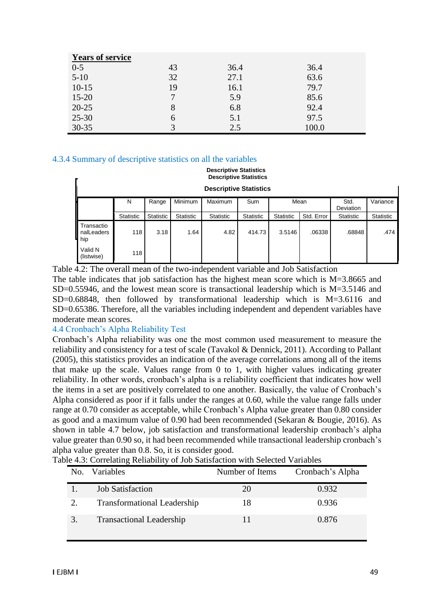| <b>Years of service</b> |    |      |       |
|-------------------------|----|------|-------|
| $0-5$                   | 43 | 36.4 | 36.4  |
| $5-10$                  | 32 | 27.1 | 63.6  |
| $10-15$                 | 19 | 16.1 | 79.7  |
| $15 - 20$               | 7  | 5.9  | 85.6  |
| $20 - 25$               | 8  | 6.8  | 92.4  |
| $25 - 30$               | 6  | 5.1  | 97.5  |
| $30 - 35$               | 3  | 2.5  | 100.0 |

#### 4.3.4 Summary of descriptive statistics on all the variables

#### **Descriptive Statistics Descriptive Statistics**

|                                                                                                       | Descriptive otationus |           |           |                  |           |           |            |                  |                  |
|-------------------------------------------------------------------------------------------------------|-----------------------|-----------|-----------|------------------|-----------|-----------|------------|------------------|------------------|
| <b>Descriptive Statistics</b>                                                                         |                       |           |           |                  |           |           |            |                  |                  |
| <b>Minimum</b><br><b>Maximum</b><br>Mean<br>Variance<br>Range<br>Sum<br>Std.<br>N<br><b>Deviation</b> |                       |           |           |                  |           |           |            |                  |                  |
|                                                                                                       | Statistic             | Statistic | Statistic | <b>Statistic</b> | Statistic | Statistic | Std. Error | <b>Statistic</b> | <b>Statistic</b> |
| Transactio<br>nalLeaders<br>hip                                                                       | 118                   | 3.18      | 1.64      | 4.82             | 414.73    | 3.5146    | .06338     | .68848           | .474             |
| Valid N<br>(listwise)                                                                                 | 118                   |           |           |                  |           |           |            |                  |                  |

Table 4.2: The overall mean of the two-independent variable and Job Satisfaction The table indicates that job satisfaction has the highest mean score which is M=3.8665 and SD=0.55946, and the lowest mean score is transactional leadership which is  $M=3.5146$  and  $SD=0.68848$ , then followed by transformational leadership which is  $M=3.6116$  and SD=0.65386. Therefore, all the variables including independent and dependent variables have moderate mean scores.

#### 4.4 Cronbach's Alpha Reliability Test

Cronbach's Alpha reliability was one the most common used measurement to measure the reliability and consistency for a test of scale (Tavakol & Dennick, 2011). According to Pallant (2005), this statistics provides an indication of the average correlations among all of the items that make up the scale. Values range from 0 to 1, with higher values indicating greater reliability. In other words, cronbach's alpha is a reliability coefficient that indicates how well the items in a set are positively correlated to one another. Basically, the value of Cronbach's Alpha considered as poor if it falls under the ranges at 0.60, while the value range falls under range at 0.70 consider as acceptable, while Cronbach's Alpha value greater than 0.80 consider as good and a maximum value of 0.90 had been recommended (Sekaran & Bougie, 2016). As shown in table 4.7 below, job satisfaction and transformational leadership cronbach's alpha value greater than 0.90 so, it had been recommended while transactional leadership cronbach's alpha value greater than 0.8. So, it is consider good.

Table 4.3: Correlating Reliability of Job Satisfaction with Selected Variables

| No. | Variables                          | Number of Items | Cronbach's Alpha |
|-----|------------------------------------|-----------------|------------------|
|     | <b>Job Satisfaction</b>            | 20              | 0.932            |
|     | <b>Transformational Leadership</b> | 18              | 0.936            |
|     | <b>Transactional Leadership</b>    |                 | 0.876            |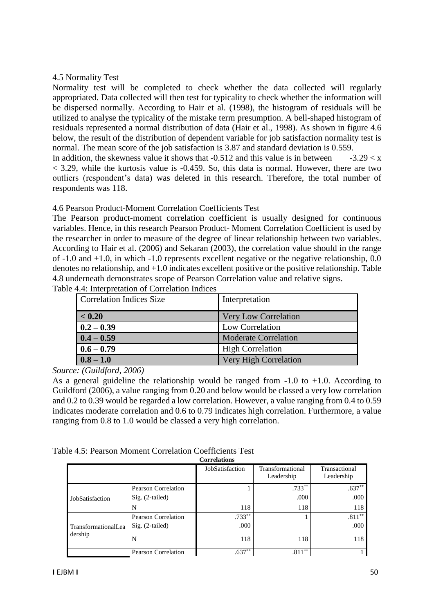#### 4.5 Normality Test

Normality test will be completed to check whether the data collected will regularly appropriated. Data collected will then test for typicality to check whether the information will be dispersed normally. According to Hair et al. (1998), the histogram of residuals will be utilized to analyse the typicality of the mistake term presumption. A bell-shaped histogram of residuals represented a normal distribution of data (Hair et al., 1998). As shown in figure 4.6 below, the result of the distribution of dependent variable for job satisfaction normality test is normal. The mean score of the job satisfaction is 3.87 and standard deviation is 0.559.

In addition, the skewness value it shows that -0.512 and this value is in between  $-3.29 < x$  $<$  3.29, while the kurtosis value is  $-0.459$ . So, this data is normal. However, there are two outliers (respondent's data) was deleted in this research. Therefore, the total number of respondents was 118.

#### 4.6 Pearson Product-Moment Correlation Coefficients Test

The Pearson product-moment correlation coefficient is usually designed for continuous variables. Hence, in this research Pearson Product- Moment Correlation Coefficient is used by the researcher in order to measure of the degree of linear relationship between two variables. According to Hair et al. (2006) and Sekaran (2003), the correlation value should in the range of -1.0 and +1.0, in which -1.0 represents excellent negative or the negative relationship, 0.0 denotes no relationship, and +1.0 indicates excellent positive or the positive relationship. Table 4.8 underneath demonstrates scope of Pearson Correlation value and relative signs.

| Correlation Indices Size | Interpretation              |
|--------------------------|-----------------------------|
| < 0.20                   | Very Low Correlation        |
| $0.2 - 0.39$             | Low Correlation             |
| $0.4 - 0.59$             | <b>Moderate Correlation</b> |
| $0.6 - 0.79$             | <b>High Correlation</b>     |
| $0.8 - 1.0$              | Very High Correlation       |

Table 4.4: Interpretation of Correlation Indices

*Source: (Guildford, 2006)*

As a general guideline the relationship would be ranged from  $-1.0$  to  $+1.0$ . According to Guildford (2006), a value ranging from 0.20 and below would be classed a very low correlation and 0.2 to 0.39 would be regarded a low correlation. However, a value ranging from 0.4 to 0.59 indicates moderate correlation and 0.6 to 0.79 indicates high correlation. Furthermore, a value ranging from 0.8 to 1.0 would be classed a very high correlation.

|  | Table 4.5: Pearson Moment Correlation Coefficients Test |  |  |
|--|---------------------------------------------------------|--|--|
|--|---------------------------------------------------------|--|--|

| <b>Correlations</b> |                     |                 |                                |                             |  |  |
|---------------------|---------------------|-----------------|--------------------------------|-----------------------------|--|--|
|                     |                     | JobSatisfaction | Transformational<br>Leadership | Transactional<br>Leadership |  |  |
|                     | Pearson Correlation |                 | $.733**$                       | $.637**$                    |  |  |
| JobSatisfaction     | $Sig. (2-tailed)$   |                 | .000                           | .000                        |  |  |
|                     | N                   | 118             | 118                            | 118                         |  |  |
|                     | Pearson Correlation | $.733**$        |                                | $.811**$                    |  |  |
| TransformationalLea | $Sig. (2-tailed)$   | .000            |                                | .000                        |  |  |
| dership             | N                   | 118             | 118                            | 118                         |  |  |
|                     | Pearson Correlation | $.637**$        | $.811***$                      |                             |  |  |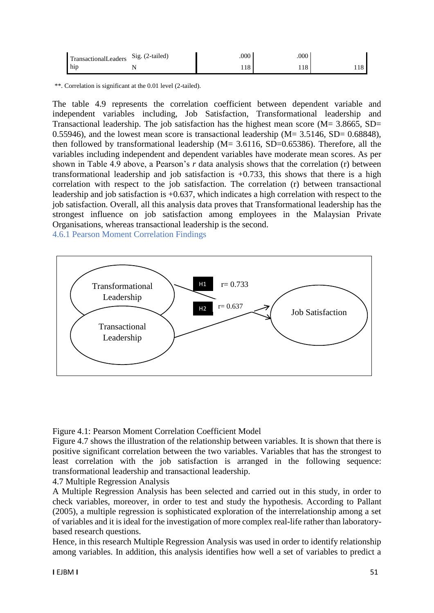| <b>TransactionalLeaders</b> | Sig. (2-tailed) | .000 | .000 |     |
|-----------------------------|-----------------|------|------|-----|
| hip h                       |                 | 118  | 118  | 110 |

\*\*. Correlation is significant at the 0.01 level (2-tailed).

The table 4.9 represents the correlation coefficient between dependent variable and independent variables including, Job Satisfaction, Transformational leadership and Transactional leadership. The job satisfaction has the highest mean score ( $M = 3.8665$ , SD= 0.55946), and the lowest mean score is transactional leadership  $(M = 3.5146, SD = 0.68848)$ , then followed by transformational leadership  $(M = 3.6116, SD = 0.65386)$ . Therefore, all the variables including independent and dependent variables have moderate mean scores. As per shown in Table 4.9 above, a Pearson's *r* data analysis shows that the correlation (r) between transformational leadership and job satisfaction is +0.733, this shows that there is a high correlation with respect to the job satisfaction. The correlation (r) between transactional leadership and job satisfaction is +0.637, which indicates a high correlation with respect to the job satisfaction. Overall, all this analysis data proves that Transformational leadership has the strongest influence on job satisfaction among employees in the Malaysian Private Organisations, whereas transactional leadership is the second.

4.6.1 Pearson Moment Correlation Findings



Figure 4.1: Pearson Moment Correlation Coefficient Model

Figure 4.7 shows the illustration of the relationship between variables. It is shown that there is positive significant correlation between the two variables. Variables that has the strongest to least correlation with the job satisfaction is arranged in the following sequence: transformational leadership and transactional leadership.

4.7 Multiple Regression Analysis

A Multiple Regression Analysis has been selected and carried out in this study, in order to check variables, moreover, in order to test and study the hypothesis. According to Pallant (2005), a multiple regression is sophisticated exploration of the interrelationship among a set of variables and it is ideal for the investigation of more complex real-life rather than laboratorybased research questions.

Hence, in this research Multiple Regression Analysis was used in order to identify relationship among variables. In addition, this analysis identifies how well a set of variables to predict a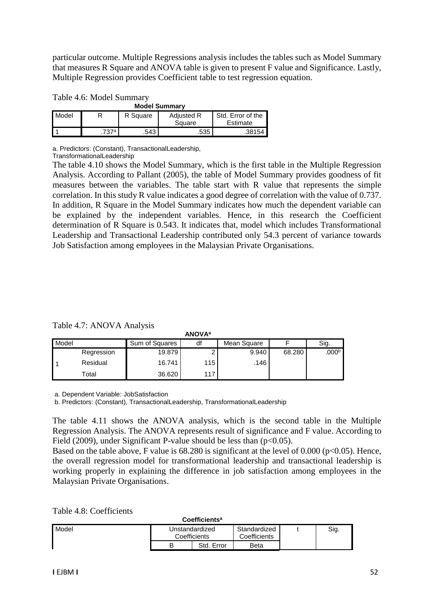particular outcome. Multiple Regressions analysis includes the tables such as Model Summary that measures R Square and ANOVA table is given to present F value and Significance. Lastly, Multiple Regression provides Coefficient table to test regression equation.

| Table 4.6: Model Summary |  |
|--------------------------|--|
|--------------------------|--|

| <b>Model Summary</b> |      |          |                             |                               |  |  |
|----------------------|------|----------|-----------------------------|-------------------------------|--|--|
| Model                |      | R Square | <b>Adjusted R</b><br>Square | Std. Error of the<br>Estimate |  |  |
|                      | 737ª | .543     | .535                        | .38154 <b>l</b>               |  |  |

a. Predictors: (Constant), TransactionalLeadership,

TransformationalLeadership

The table 4.10 shows the Model Summary, which is the first table in the Multiple Regression Analysis. According to Pallant (2005), the table of Model Summary provides goodness of fit measures between the variables. The table start with R value that represents the simple correlation. In this study R value indicates a good degree of correlation with the value of 0.737. In addition, R Square in the Model Summary indicates how much the dependent variable can be explained by the independent variables. Hence, in this research the Coefficient determination of R Square is 0.543. It indicates that, model which includes Transformational Leadership and Transactional Leadership contributed only 54.3 percent of variance towards Job Satisfaction among employees in the Malaysian Private Organisations.

Table 4.7: ANOVA Analysis

| ANUVA <sup>-</sup> |             |                |     |             |        |                   |
|--------------------|-------------|----------------|-----|-------------|--------|-------------------|
| Model              |             | Sum of Squares | df  | Mean Square |        | Sig.              |
|                    | Regression  | 19.879         |     | 9.940       | 68.280 | .000 <sup>b</sup> |
|                    | Residual    | 16.741         | 115 | .146        |        |                   |
|                    | $\tau$ otal | 36.620         | 117 |             |        |                   |

**ANOVA<sup>a</sup>**

a. Dependent Variable: JobSatisfaction

b. Predictors: (Constant), TransactionalLeadership, TransformationalLeadership

The table 4.11 shows the ANOVA analysis, which is the second table in the Multiple Regression Analysis. The ANOVA represents result of significance and F value. According to Field (2009), under Significant P-value should be less than  $(p<0.05)$ .

Based on the table above, F value is  $68.280$  is significant at the level of  $0.000$  ( $p<0.05$ ). Hence, the overall regression model for transformational leadership and transactional leadership is working properly in explaining the difference in job satisfaction among employees in the Malaysian Private Organisations.

Table 4.8: Coefficients

| Coefficients <sup>a</sup> |                                |            |                              |  |      |
|---------------------------|--------------------------------|------------|------------------------------|--|------|
| <b>Model</b>              | Unstandardized<br>Coefficients |            | Standardized<br>Coefficients |  | Sig. |
|                           | B                              | Std. Error | Beta                         |  |      |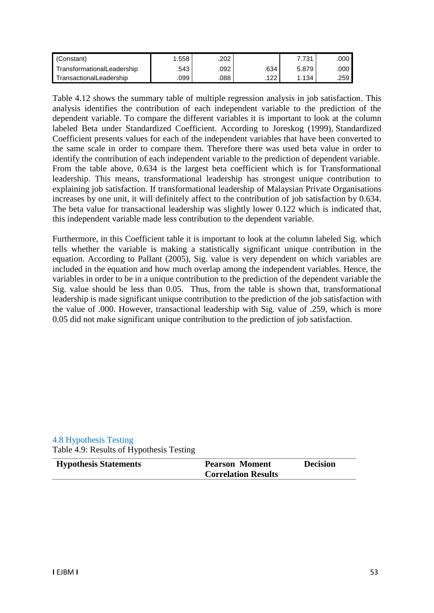| (Constant)                 | .558   | .202 |            | 731   | .000 l |
|----------------------------|--------|------|------------|-------|--------|
| TransformationalLeadership | .543 ' | 092. | .634       | 5.879 | .000 l |
| TransactionalLeadership    | .099   | .088 | 1つつ<br>144 | . 134 | .259 I |

Table 4.12 shows the summary table of multiple regression analysis in job satisfaction. This analysis identifies the contribution of each independent variable to the prediction of the dependent variable. To compare the different variables it is important to look at the column labeled Beta under Standardized Coefficient. According to Joreskog (1999), Standardized Coefficient presents values for each of the independent variables that have been converted to the same scale in order to compare them. Therefore there was used beta value in order to identify the contribution of each independent variable to the prediction of dependent variable. From the table above, 0.634 is the largest beta coefficient which is for Transformational leadership. This means, transformational leadership has strongest unique contribution to explaining job satisfaction. If transformational leadership of Malaysian Private Organisations increases by one unit, it will definitely affect to the contribution of job satisfaction by 0.634. The beta value for transactional leadership was slightly lower 0.122 which is indicated that, this independent variable made less contribution to the dependent variable.

Furthermore, in this Coefficient table it is important to look at the column labeled Sig. which tells whether the variable is making a statistically significant unique contribution in the equation. According to Pallant (2005), Sig. value is very dependent on which variables are included in the equation and how much overlap among the independent variables. Hence, the variables in order to be in a unique contribution to the prediction of the dependent variable the Sig. value should be less than 0.05. Thus, from the table is shown that, transformational leadership is made significant unique contribution to the prediction of the job satisfaction with the value of .000. However, transactional leadership with Sig. value of .259, which is more 0.05 did not make significant unique contribution to the prediction of job satisfaction.

#### 4.8 Hypothesis Testing Table 4.9: Results of Hypothesis Testing

| <b>Hypothesis Statements</b> | <b>Pearson Moment</b>      | <b>Decision</b> |
|------------------------------|----------------------------|-----------------|
|                              | <b>Correlation Results</b> |                 |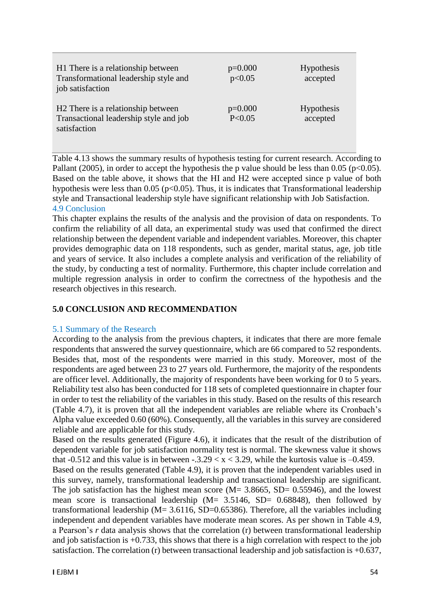| H1 There is a relationship between<br>Transformational leadership style and<br>job satisfaction          | $p=0.000$<br>p<0.05   | <b>Hypothesis</b><br>accepted |
|----------------------------------------------------------------------------------------------------------|-----------------------|-------------------------------|
| H <sub>2</sub> There is a relationship between<br>Transactional leadership style and job<br>satisfaction | $p=0.000$<br>P < 0.05 | <b>Hypothesis</b><br>accepted |

Table 4.13 shows the summary results of hypothesis testing for current research. According to Pallant (2005), in order to accept the hypothesis the p value should be less than 0.05 ( $p<0.05$ ). Based on the table above, it shows that the HI and H2 were accepted since p value of both hypothesis were less than  $0.05$  (p<0.05). Thus, it is indicates that Transformational leadership style and Transactional leadership style have significant relationship with Job Satisfaction. 4.9 Conclusion

This chapter explains the results of the analysis and the provision of data on respondents. To confirm the reliability of all data, an experimental study was used that confirmed the direct relationship between the dependent variable and independent variables. Moreover, this chapter provides demographic data on 118 respondents, such as gender, marital status, age, job title and years of service. It also includes a complete analysis and verification of the reliability of the study, by conducting a test of normality. Furthermore, this chapter include correlation and multiple regression analysis in order to confirm the correctness of the hypothesis and the research objectives in this research.

#### **5.0 CONCLUSION AND RECOMMENDATION**

#### 5.1 Summary of the Research

According to the analysis from the previous chapters, it indicates that there are more female respondents that answered the survey questionnaire, which are 66 compared to 52 respondents. Besides that, most of the respondents were married in this study. Moreover, most of the respondents are aged between 23 to 27 years old. Furthermore, the majority of the respondents are officer level. Additionally, the majority of respondents have been working for 0 to 5 years. Reliability test also has been conducted for 118 sets of completed questionnaire in chapter four in order to test the reliability of the variables in this study. Based on the results of this research (Table 4.7), it is proven that all the independent variables are reliable where its Cronbach's Alpha value exceeded 0.60 (60%). Consequently, all the variables in this survey are considered reliable and are applicable for this study.

Based on the results generated (Figure 4.6), it indicates that the result of the distribution of dependent variable for job satisfaction normality test is normal. The skewness value it shows that -0.512 and this value is in between -.3.29  $\lt x \lt 3.29$ , while the kurtosis value is -0.459.

Based on the results generated (Table 4.9), it is proven that the independent variables used in this survey, namely, transformational leadership and transactional leadership are significant. The job satisfaction has the highest mean score  $(M= 3.8665, SD= 0.55946)$ , and the lowest mean score is transactional leadership (M= 3.5146, SD= 0.68848), then followed by transformational leadership  $(M= 3.6116, SD=0.65386)$ . Therefore, all the variables including independent and dependent variables have moderate mean scores. As per shown in Table 4.9, a Pearson's *r* data analysis shows that the correlation (r) between transformational leadership and job satisfaction is +0.733, this shows that there is a high correlation with respect to the job satisfaction. The correlation (r) between transactional leadership and job satisfaction is +0.637,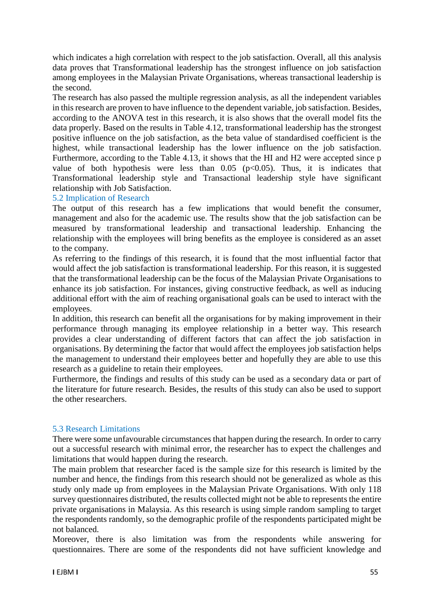which indicates a high correlation with respect to the job satisfaction. Overall, all this analysis data proves that Transformational leadership has the strongest influence on job satisfaction among employees in the Malaysian Private Organisations, whereas transactional leadership is the second.

The research has also passed the multiple regression analysis, as all the independent variables in this research are proven to have influence to the dependent variable, job satisfaction. Besides, according to the ANOVA test in this research, it is also shows that the overall model fits the data properly. Based on the results in Table 4.12, transformational leadership has the strongest positive influence on the job satisfaction, as the beta value of standardised coefficient is the highest, while transactional leadership has the lower influence on the job satisfaction. Furthermore, according to the Table 4.13, it shows that the HI and H2 were accepted since p value of both hypothesis were less than  $0.05$  ( $p<0.05$ ). Thus, it is indicates that Transformational leadership style and Transactional leadership style have significant relationship with Job Satisfaction.

#### 5.2 Implication of Research

The output of this research has a few implications that would benefit the consumer, management and also for the academic use. The results show that the job satisfaction can be measured by transformational leadership and transactional leadership. Enhancing the relationship with the employees will bring benefits as the employee is considered as an asset to the company.

As referring to the findings of this research, it is found that the most influential factor that would affect the job satisfaction is transformational leadership. For this reason, it is suggested that the transformational leadership can be the focus of the Malaysian Private Organisations to enhance its job satisfaction. For instances, giving constructive feedback, as well as inducing additional effort with the aim of reaching organisational goals can be used to interact with the employees.

In addition, this research can benefit all the organisations for by making improvement in their performance through managing its employee relationship in a better way. This research provides a clear understanding of different factors that can affect the job satisfaction in organisations. By determining the factor that would affect the employees job satisfaction helps the management to understand their employees better and hopefully they are able to use this research as a guideline to retain their employees.

Furthermore, the findings and results of this study can be used as a secondary data or part of the literature for future research. Besides, the results of this study can also be used to support the other researchers.

# 5.3 Research Limitations

There were some unfavourable circumstances that happen during the research. In order to carry out a successful research with minimal error, the researcher has to expect the challenges and limitations that would happen during the research.

The main problem that researcher faced is the sample size for this research is limited by the number and hence, the findings from this research should not be generalized as whole as this study only made up from employees in the Malaysian Private Organisations. With only 118 survey questionnaires distributed, the results collected might not be able to represents the entire private organisations in Malaysia. As this research is using simple random sampling to target the respondents randomly, so the demographic profile of the respondents participated might be not balanced.

Moreover, there is also limitation was from the respondents while answering for questionnaires. There are some of the respondents did not have sufficient knowledge and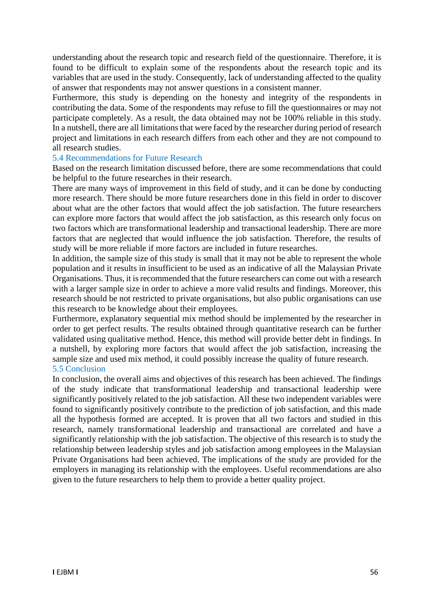understanding about the research topic and research field of the questionnaire. Therefore, it is found to be difficult to explain some of the respondents about the research topic and its variables that are used in the study. Consequently, lack of understanding affected to the quality of answer that respondents may not answer questions in a consistent manner.

Furthermore, this study is depending on the honesty and integrity of the respondents in contributing the data. Some of the respondents may refuse to fill the questionnaires or may not participate completely. As a result, the data obtained may not be 100% reliable in this study. In a nutshell, there are all limitations that were faced by the researcher during period of research project and limitations in each research differs from each other and they are not compound to all research studies.

#### 5.4 Recommendations for Future Research

Based on the research limitation discussed before, there are some recommendations that could be helpful to the future researches in their research.

There are many ways of improvement in this field of study, and it can be done by conducting more research. There should be more future researchers done in this field in order to discover about what are the other factors that would affect the job satisfaction. The future researchers can explore more factors that would affect the job satisfaction, as this research only focus on two factors which are transformational leadership and transactional leadership. There are more factors that are neglected that would influence the job satisfaction. Therefore, the results of study will be more reliable if more factors are included in future researches.

In addition, the sample size of this study is small that it may not be able to represent the whole population and it results in insufficient to be used as an indicative of all the Malaysian Private Organisations. Thus, it is recommended that the future researchers can come out with a research with a larger sample size in order to achieve a more valid results and findings. Moreover, this research should be not restricted to private organisations, but also public organisations can use this research to be knowledge about their employees.

Furthermore, explanatory sequential mix method should be implemented by the researcher in order to get perfect results. The results obtained through quantitative research can be further validated using qualitative method. Hence, this method will provide better debt in findings. In a nutshell, by exploring more factors that would affect the job satisfaction, increasing the sample size and used mix method, it could possibly increase the quality of future research. 5.5 Conclusion

In conclusion, the overall aims and objectives of this research has been achieved. The findings of the study indicate that transformational leadership and transactional leadership were significantly positively related to the job satisfaction. All these two independent variables were found to significantly positively contribute to the prediction of job satisfaction, and this made all the hypothesis formed are accepted. It is proven that all two factors and studied in this research, namely transformational leadership and transactional are correlated and have a significantly relationship with the job satisfaction. The objective of this research is to study the relationship between leadership styles and job satisfaction among employees in the Malaysian Private Organisations had been achieved. The implications of the study are provided for the employers in managing its relationship with the employees. Useful recommendations are also given to the future researchers to help them to provide a better quality project.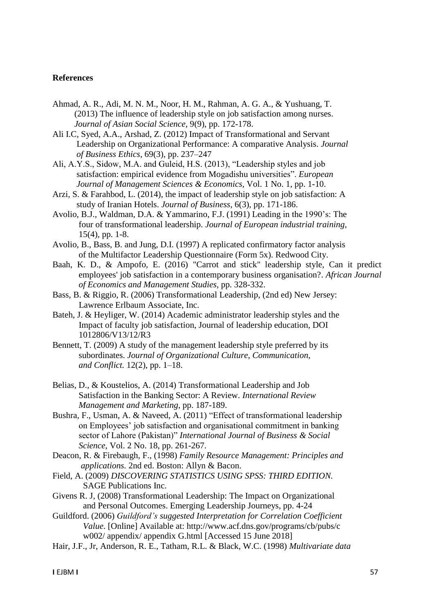#### **References**

- Ahmad, A. R., Adi, M. N. M., Noor, H. M., Rahman, A. G. A., & Yushuang, T. (2013) The influence of leadership style on job satisfaction among nurses.  *Journal of Asian Social Science,* 9(9), pp. 172-178.
- Ali I.C, Syed, A.A., Arshad, Z. (2012) Impact of Transformational and Servant Leadership on Organizational Performance: A comparative Analysis. *Journal of Business Ethics*, 69(3), pp. 237–247
- Ali, A.Y.S., Sidow, M.A. and Guleid, H.S. (2013), "Leadership styles and job satisfaction: empirical evidence from Mogadishu universities". *European Journal of Management Sciences & Economics,* Vol. 1 No. 1, pp. 1-10.
- Arzi, S. & Farahbod, L. (2014), the impact of leadership style on job satisfaction: A study of Iranian Hotels. *Journal of Business,* 6(3), pp. 171-186.
- Avolio, B.J., Waldman, D.A. & Yammarino, F.J. (1991) Leading in the 1990's: The four of transformational leadership. *Journal of European industrial training*, 15(4), pp. 1-8.
- Avolio, B., Bass, B. and Jung, D.I. (1997) A replicated confirmatory factor analysis of the Multifactor Leadership Questionnaire (Form 5x). Redwood City.
- Baah, K. D., & Ampofo, E. (2016) "Carrot and stick" leadership style, Can it predict employees' job satisfaction in a contemporary business organisation?. *African Journal of Economics and Management Studies*, pp. 328-332.
- Bass, B. & Riggio, R. (2006) Transformational Leadership, (2nd ed) New Jersey: Lawrence Erlbaum Associate, Inc.
- Bateh, J. & Heyliger, W. (2014) Academic administrator leadership styles and the Impact of faculty job satisfaction, Journal of leadership education, DOI 1012806/V13/12/R3
- Bennett, T. (2009) A study of the management leadership style preferred by its subordinates. *Journal of Organizational Culture*, *Communication, and Conflict.* 12(2), pp. 1–18.
- Belias, D., & Koustelios, A. (2014) Transformational Leadership and Job Satisfaction in the Banking Sector: A Review. *International Review Management and Marketing*, pp. 187-189.
- Bushra, F., Usman, A. & Naveed, A. (2011) "Effect of transformational leadership on Employees' job satisfaction and organisational commitment in banking sector of Lahore (Pakistan)" *International Journal of Business & Social Science*, Vol. 2 No. 18, pp. 261-267.
- Deacon, R. & Firebaugh, F., (1998) *Family Resource Management: Principles and applications.* 2nd ed. Boston: Allyn & Bacon.
- Field, A. (2009) *DISCOVERING STATISTICS USING SPSS: THIRD EDITION.* SAGE Publications Inc.
- Givens R. J, (2008) Transformational Leadership: The Impact on Organizational and Personal Outcomes. Emerging Leadership Journeys, pp. 4-24
- Guildford. (2006) *Guildford's suggested Interpretation for Correlation Coefficient Value*. [Online] Available at: http://www.acf.dns.gov/programs/cb/pubs/c w002/ appendix/ appendix G.html [Accessed 15 June 2018]
- Hair, J.F., Jr, Anderson, R. E., Tatham, R.L. & Black, W.C. (1998) *Multivariate data*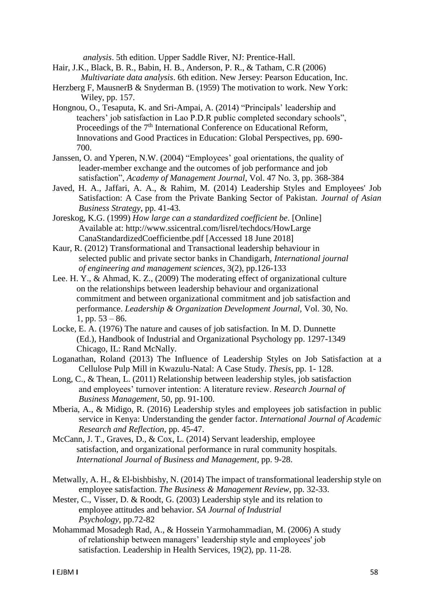*analysis*. 5th edition. Upper Saddle River, NJ: Prentice-Hall.

- Hair, J.K., Black, B. R., Babin, H. B., Anderson, P. R., & Tatham, C.R (2006) *Multivariate data analysis*. 6th edition. New Jersey: Pearson Education, Inc.
- Herzberg F, MausnerB & Snyderman B. (1959) The motivation to work. New York: Wiley, pp. 157.
- Hongnou, O., Tesaputa, K. and Sri-Ampai, A. (2014) "Principals' leadership and teachers' job satisfaction in Lao P.D.R public completed secondary schools", Proceedings of the  $7<sup>th</sup>$  International Conference on Educational Reform, Innovations and Good Practices in Education: Global Perspectives, pp. 690- 700.
- Janssen, O. and Yperen, N.W. (2004) "Employees' goal orientations, the quality of leader-member exchange and the outcomes of job performance and job satisfaction", *Academy of Management Journal,* Vol. 47 No. 3, pp. 368-384
- Javed, H. A., Jaffari, A. A., & Rahim, M. (2014) Leadership Styles and Employees' Job Satisfaction: A Case from the Private Banking Sector of Pakistan. *Journal of Asian Business Strategy*, pp. 41-43.
- Joreskog, K.G. (1999) *How large can a standardized coefficient be*. [Online] Available at: http://www.ssicentral.com/lisrel/techdocs/HowLarge CanaStandardizedCoefficientbe.pdf [Accessed 18 June 2018]
- Kaur, R. (2012) Transformational and Transactional leadership behaviour in selected public and private sector banks in Chandigarh, *International journal of engineering and management sciences*, 3(2), pp.126-133
- Lee. H. Y., & Ahmad, K. Z., (2009) The moderating effect of organizational culture on the relationships between leadership behaviour and organizational commitment and between organizational commitment and job satisfaction and performance. *Leadership & Organization Development Journal,* Vol. 30, No. 1, pp.  $53 - 86$ .
- Locke, E. A. (1976) The nature and causes of job satisfaction. In M. D. Dunnette (Ed.), Handbook of Industrial and Organizational Psychology pp. 1297-1349 Chicago, IL: Rand McNally.
- Loganathan, Roland (2013) The Influence of Leadership Styles on Job Satisfaction at a Cellulose Pulp Mill in Kwazulu-Natal: A Case Study. *Thesis*, pp. 1- 128.
- Long, C., & Thean, L. (2011) Relationship between leadership styles, job satisfaction and employees' turnover intention: A literature review. *Research Journal of Business Management,* 50, pp. 91-100.
- Mberia, A., & Midigo, R. (2016) Leadership styles and employees job satisfaction in public service in Kenya: Understanding the gender factor. *International Journal of Academic Research and Reflection*, pp. 45-47.
- McCann, J. T., Graves, D., & Cox, L. (2014) Servant leadership, employee satisfaction, and organizational performance in rural community hospitals.  *International Journal of Business and Management*, pp. 9-28.
- Metwally, A. H., & El-bishbishy, N. (2014) The impact of transformational leadership style on employee satisfaction. *The Business & Management Review*, pp. 32-33.
- Mester, C., Visser, D. & Roodt, G. (2003) Leadership style and its relation to employee attitudes and behavior. *SA Journal of Industrial Psychology*, pp.72-82
- Mohammad Mosadegh Rad, A., & Hossein Yarmohammadian, M. (2006) A study of relationship between managers' leadership style and employees' job satisfaction. Leadership in Health Services, 19(2), pp. 11-28.